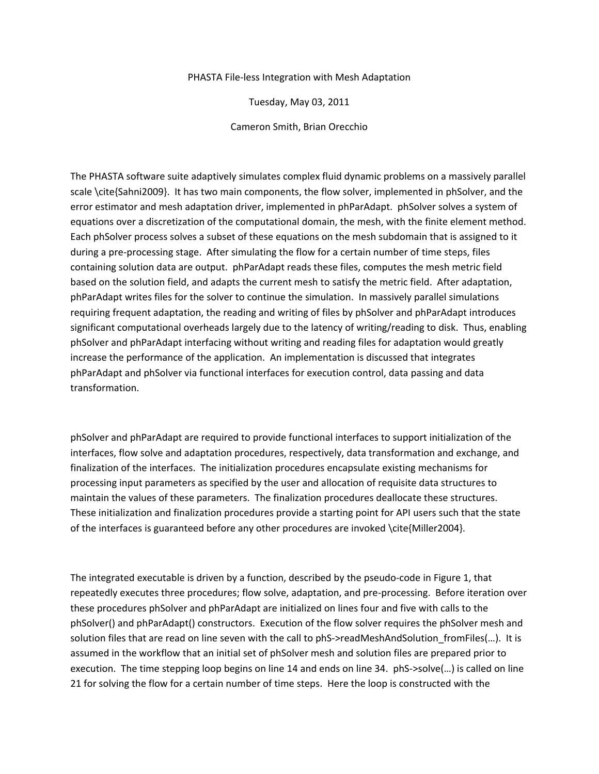## PHASTA File-less Integration with Mesh Adaptation

Tuesday, May 03, 2011

Cameron Smith, Brian Orecchio

The PHASTA software suite adaptively simulates complex fluid dynamic problems on a massively parallel scale \cite{Sahni2009}. It has two main components, the flow solver, implemented in phSolver, and the error estimator and mesh adaptation driver, implemented in phParAdapt. phSolver solves a system of equations over a discretization of the computational domain, the mesh, with the finite element method. Each phSolver process solves a subset of these equations on the mesh subdomain that is assigned to it during a pre-processing stage. After simulating the flow for a certain number of time steps, files containing solution data are output. phParAdapt reads these files, computes the mesh metric field based on the solution field, and adapts the current mesh to satisfy the metric field. After adaptation, phParAdapt writes files for the solver to continue the simulation. In massively parallel simulations requiring frequent adaptation, the reading and writing of files by phSolver and phParAdapt introduces significant computational overheads largely due to the latency of writing/reading to disk. Thus, enabling phSolver and phParAdapt interfacing without writing and reading files for adaptation would greatly increase the performance of the application. An implementation is discussed that integrates phParAdapt and phSolver via functional interfaces for execution control, data passing and data transformation.

phSolver and phParAdapt are required to provide functional interfaces to support initialization of the interfaces, flow solve and adaptation procedures, respectively, data transformation and exchange, and finalization of the interfaces. The initialization procedures encapsulate existing mechanisms for processing input parameters as specified by the user and allocation of requisite data structures to maintain the values of these parameters. The finalization procedures deallocate these structures. These initialization and finalization procedures provide a starting point for API users such that the state of the interfaces is guaranteed before any other procedures are invoked \cite{Miller2004}.

The integrated executable is driven by a function, described by the pseudo-code in Figure 1, that repeatedly executes three procedures; flow solve, adaptation, and pre-processing. Before iteration over these procedures phSolver and phParAdapt are initialized on lines four and five with calls to the phSolver() and phParAdapt() constructors. Execution of the flow solver requires the phSolver mesh and solution files that are read on line seven with the call to phS->readMeshAndSolution fromFiles(...). It is assumed in the workflow that an initial set of phSolver mesh and solution files are prepared prior to execution. The time stepping loop begins on line 14 and ends on line 34. phS->solve(…) is called on line 21 for solving the flow for a certain number of time steps. Here the loop is constructed with the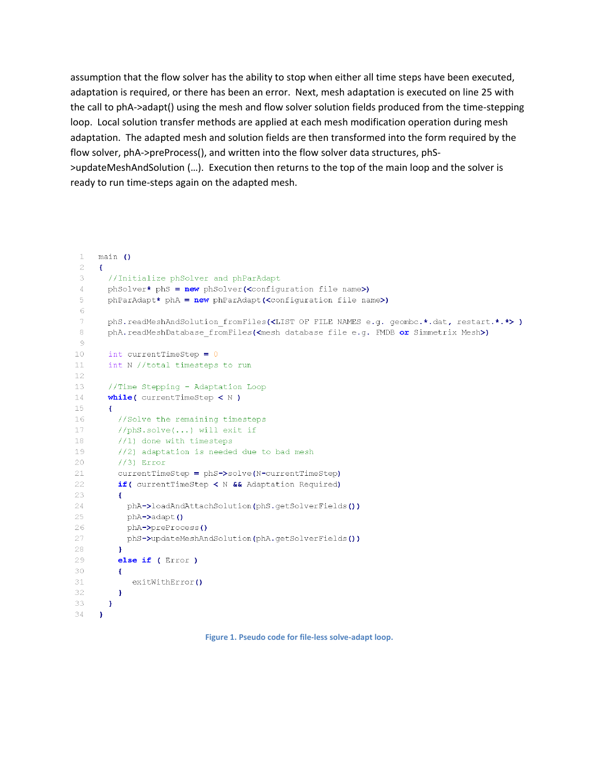assumption that the flow solver has the ability to stop when either all time steps have been executed, adaptation is required, or there has been an error. Next, mesh adaptation is executed on line 25 with the call to phA->adapt() using the mesh and flow solver solution fields produced from the time-stepping loop. Local solution transfer methods are applied at each mesh modification operation during mesh adaptation. The adapted mesh and solution fields are then transformed into the form required by the flow solver, phA->preProcess(), and written into the flow solver data structures, phS- >updateMeshAndSolution (…). Execution then returns to the top of the main loop and the solver is ready to run time-steps again on the adapted mesh.

```
\mathbf{1}main ()\supset-6
 \mathcal{L}//Initialize phSolver and phParAdapt
 \overline{4}phSolver* phS = new phSolver(<configuration file name>)
 5
       phParAdapt* phA = new phParAdapt(<configuration file name>)
 6
 \tauphS.readMeshAndSolution fromFiles(<LIST OF FILE NAMES e.g. geombc.*.dat, restart.*.*>)
 \, 8 \,phA.readMeshDatabase fromFiles(<mesh database file e.g. FMDB or Simmetrix Mesh>)
 \circ10 -int currentTimeStep = 0int N //total timesteps to run
1112^{1}13
       //Time Stepping - Adaptation Loop
14while( currentTimeStep \langle N \rangle)
15 -\mathbf{f}16
         //Solve the remaining timesteps
17
         //phS.solve(...) will exit if18
        1/1) done with timesteps
19
        //2) adaptation is needed due to bad mesh
20
        1/3 Error
21currentTimeStep = phS->solve(N-currentTimeStep)
22
         if ( currentTimeStep < N && Adaptation Required)
23
         \mathcal{A}24
          phA->loadAndAttachSolution(phS.getSolverFields())
25
          phA->adapt ()
26
          phA->preProcess()
27
          phS->updateMeshAndSolution(phA.getSolverFields())
28
        \rightarrow29
       else if (Error)
30
         \mathbf{f}31exitWithError()
32
         \mathbf{F}33
       \mathcal{F}34
     \mathbf{F}
```
**Figure 1. Pseudo code for file-less solve-adapt loop.**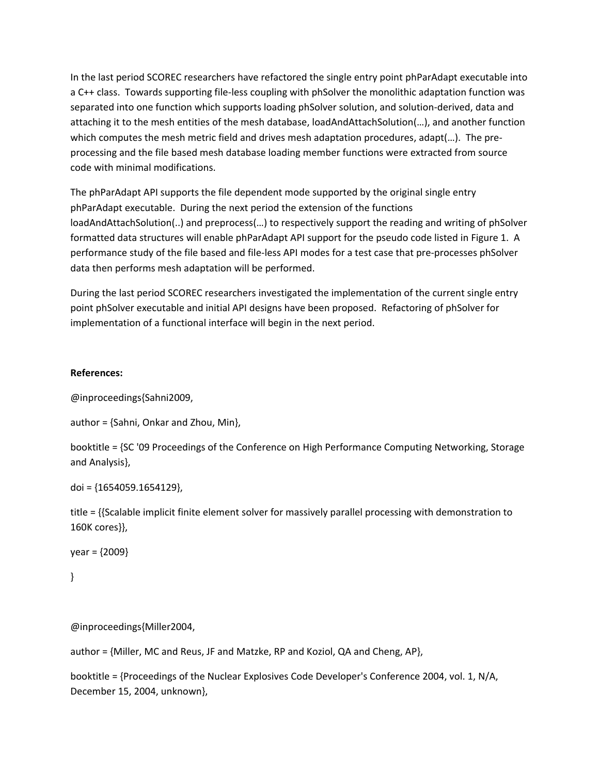In the last period SCOREC researchers have refactored the single entry point phParAdapt executable into a C++ class. Towards supporting file-less coupling with phSolver the monolithic adaptation function was separated into one function which supports loading phSolver solution, and solution-derived, data and attaching it to the mesh entities of the mesh database, loadAndAttachSolution(…), and another function which computes the mesh metric field and drives mesh adaptation procedures, adapt(...). The preprocessing and the file based mesh database loading member functions were extracted from source code with minimal modifications.

The phParAdapt API supports the file dependent mode supported by the original single entry phParAdapt executable. During the next period the extension of the functions loadAndAttachSolution(..) and preprocess(…) to respectively support the reading and writing of phSolver formatted data structures will enable phParAdapt API support for the pseudo code listed in Figure 1. A performance study of the file based and file-less API modes for a test case that pre-processes phSolver data then performs mesh adaptation will be performed.

During the last period SCOREC researchers investigated the implementation of the current single entry point phSolver executable and initial API designs have been proposed. Refactoring of phSolver for implementation of a functional interface will begin in the next period.

## **References:**

@inproceedings{Sahni2009,

author = {Sahni, Onkar and Zhou, Min},

booktitle = {SC '09 Proceedings of the Conference on High Performance Computing Networking, Storage and Analysis},

doi = {1654059.1654129},

title = {{Scalable implicit finite element solver for massively parallel processing with demonstration to 160K cores}},

```
year = {2009}
```

```
}
```
@inproceedings{Miller2004,

author = {Miller, MC and Reus, JF and Matzke, RP and Koziol, QA and Cheng, AP},

booktitle = {Proceedings of the Nuclear Explosives Code Developer's Conference 2004, vol. 1, N/A, December 15, 2004, unknown},